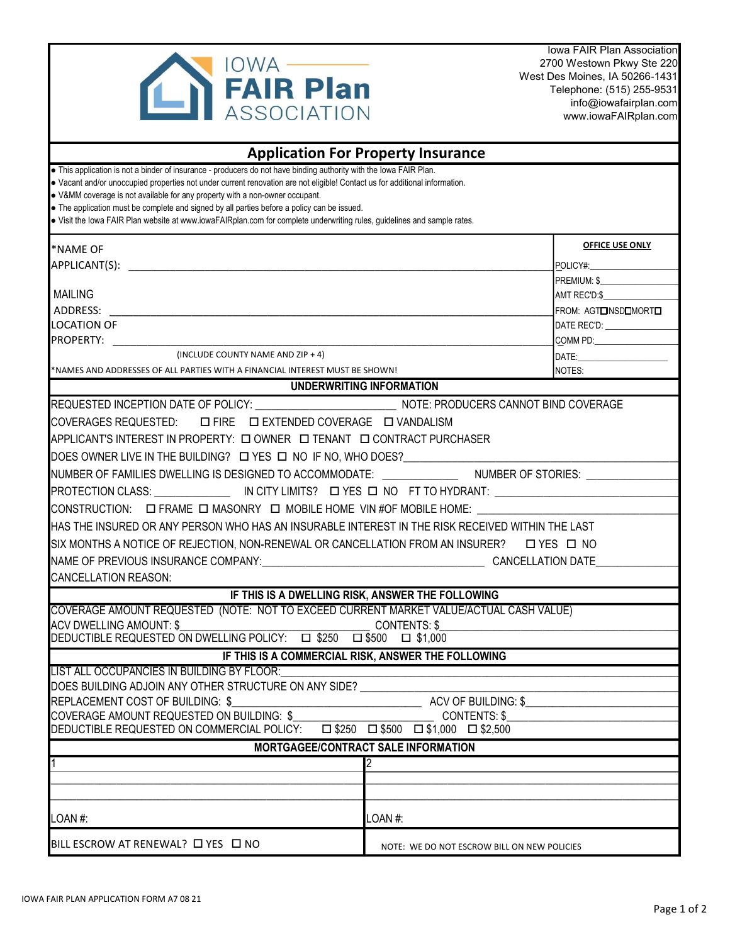

Iowa FAIR Plan Association 2700 Westown Pkwy Ste 220 West Des Moines, IA 50266-1431 Telephone: (515) 255-9531 [info@iowafairplan.com](mailto:info@iowafairplan.com)  [www.iowaFAIRplan.com](http://www.iowaFAIRplan.com) 

| <b>Application For Property Insurance</b>                                                                                                                                                                                                                                                                                                                                                                                                                                                                                                                    |                                                    |                                     |  |  |  |
|--------------------------------------------------------------------------------------------------------------------------------------------------------------------------------------------------------------------------------------------------------------------------------------------------------------------------------------------------------------------------------------------------------------------------------------------------------------------------------------------------------------------------------------------------------------|----------------------------------------------------|-------------------------------------|--|--|--|
| . This application is not a binder of insurance - producers do not have binding authority with the lowa FAIR Plan.<br>• Vacant and/or unoccupied properties not under current renovation are not eligible! Contact us for additional information.<br>• V&MM coverage is not available for any property with a non-owner occupant.<br>• The application must be complete and signed by all parties before a policy can be issued.<br>· Visit the lowa FAIR Plan website at www.iowaFAIRplan.com for complete underwriting rules, guidelines and sample rates. |                                                    |                                     |  |  |  |
| <b>*NAME OF</b>                                                                                                                                                                                                                                                                                                                                                                                                                                                                                                                                              |                                                    | OFFICE USE ONLY                     |  |  |  |
| APPLICANT(S): APPLICANT AND THE SERVICE OF THE SERVICE OF THE SERVICE OF THE SERVICE OF THE SERVICE OF THE SERVICE OF THE SERVICE OF THE SERVICE OF THE SERVICE OF THE SERVICE OF THE SERVICE OF THE SERVICE OF THE SERVICE OF                                                                                                                                                                                                                                                                                                                               |                                                    | POLICY#:                            |  |  |  |
|                                                                                                                                                                                                                                                                                                                                                                                                                                                                                                                                                              |                                                    | PREMIUM \$                          |  |  |  |
| <b>MAILING</b>                                                                                                                                                                                                                                                                                                                                                                                                                                                                                                                                               |                                                    | AMT REC'D:\$                        |  |  |  |
| ADDRESS:                                                                                                                                                                                                                                                                                                                                                                                                                                                                                                                                                     |                                                    | FROM: AGTOINSDOMORTO                |  |  |  |
| <b>LOCATION OF</b>                                                                                                                                                                                                                                                                                                                                                                                                                                                                                                                                           |                                                    | DATE REC'D: <b>William Property</b> |  |  |  |
| <b>PROPERTY:</b>                                                                                                                                                                                                                                                                                                                                                                                                                                                                                                                                             |                                                    |                                     |  |  |  |
| (INCLUDE COUNTY NAME AND ZIP + 4)                                                                                                                                                                                                                                                                                                                                                                                                                                                                                                                            |                                                    |                                     |  |  |  |
| *NAMES AND ADDRESSES OF ALL PARTIES WITH A FINANCIAL INTEREST MUST BE SHOWN!                                                                                                                                                                                                                                                                                                                                                                                                                                                                                 |                                                    | NOTES:                              |  |  |  |
|                                                                                                                                                                                                                                                                                                                                                                                                                                                                                                                                                              | UNDERWRITING INFORMATION                           |                                     |  |  |  |
| REQUESTED INCEPTION DATE OF POLICY: NOTE: PRODUCERS CANNOT BIND COVERAGE                                                                                                                                                                                                                                                                                                                                                                                                                                                                                     |                                                    |                                     |  |  |  |
| <b>COVERAGES REQUESTED:</b><br>□ FIRE □ EXTENDED COVERAGE □ VANDALISM                                                                                                                                                                                                                                                                                                                                                                                                                                                                                        |                                                    |                                     |  |  |  |
| APPLICANT'S INTEREST IN PROPERTY: [ OWNER   I TENANT   I CONTRACT PURCHASER                                                                                                                                                                                                                                                                                                                                                                                                                                                                                  |                                                    |                                     |  |  |  |
|                                                                                                                                                                                                                                                                                                                                                                                                                                                                                                                                                              |                                                    |                                     |  |  |  |
| NUMBER OF FAMILIES DWELLING IS DESIGNED TO ACCOMMODATE: __________________NUMBER OF STORIES: _______                                                                                                                                                                                                                                                                                                                                                                                                                                                         |                                                    |                                     |  |  |  |
|                                                                                                                                                                                                                                                                                                                                                                                                                                                                                                                                                              |                                                    |                                     |  |  |  |
| CONSTRUCTION: □ FRAME □ MASONRY □ MOBILE HOME VIN #OF MOBILE HOME:                                                                                                                                                                                                                                                                                                                                                                                                                                                                                           |                                                    |                                     |  |  |  |
| HAS THE INSURED OR ANY PERSON WHO HAS AN INSURABLE INTEREST IN THE RISK RECEIVED WITHIN THE LAST                                                                                                                                                                                                                                                                                                                                                                                                                                                             |                                                    |                                     |  |  |  |
| SIX MONTHS A NOTICE OF REJECTION, NON-RENEWAL OR CANCELLATION FROM AN INSURER? □ YES □ NO                                                                                                                                                                                                                                                                                                                                                                                                                                                                    |                                                    |                                     |  |  |  |
| NAME OF PREVIOUS INSURANCE COMPANY: And the state of the state of the cancellation date                                                                                                                                                                                                                                                                                                                                                                                                                                                                      |                                                    |                                     |  |  |  |
| <b>CANCELLATION REASON:</b>                                                                                                                                                                                                                                                                                                                                                                                                                                                                                                                                  |                                                    |                                     |  |  |  |
|                                                                                                                                                                                                                                                                                                                                                                                                                                                                                                                                                              | IF THIS IS A DWELLING RISK, ANSWER THE FOLLOWING   |                                     |  |  |  |
| COVERAGE AMOUNT REQUESTED (NOTE: NOT TO EXCEED CURRENT MARKET VALUE/ACTUAL CASH VALUE)                                                                                                                                                                                                                                                                                                                                                                                                                                                                       |                                                    |                                     |  |  |  |
| <b>ACV DWELLING AMOUNT: \$</b>                                                                                                                                                                                                                                                                                                                                                                                                                                                                                                                               | <b>CONTENTS: \$</b>                                |                                     |  |  |  |
| DEDUCTIBLE REQUESTED ON DWELLING POLICY: □ \$250 □ \$500 □ \$1,000                                                                                                                                                                                                                                                                                                                                                                                                                                                                                           |                                                    |                                     |  |  |  |
|                                                                                                                                                                                                                                                                                                                                                                                                                                                                                                                                                              | IF THIS IS A COMMERCIAL RISK, ANSWER THE FOLLOWING |                                     |  |  |  |
| LIST ALL OCCUPANCIES IN BUILDING BY FLOOR:                                                                                                                                                                                                                                                                                                                                                                                                                                                                                                                   |                                                    |                                     |  |  |  |
| DOES BUILDING ADJOIN ANY OTHER STRUCTURE ON ANY SIDE?                                                                                                                                                                                                                                                                                                                                                                                                                                                                                                        |                                                    |                                     |  |  |  |
| REPLACEMENT COST OF BUILDING: \$<br><b>ACV OF BUILDING: \$</b>                                                                                                                                                                                                                                                                                                                                                                                                                                                                                               |                                                    |                                     |  |  |  |
| COVERAGE AMOUNT REQUESTED ON BUILDING: \$<br><b>CONTENTS: \$</b><br>$\Box $250 \quad \Box $500 \quad \Box $1,000 \quad \Box $2,500$                                                                                                                                                                                                                                                                                                                                                                                                                          |                                                    |                                     |  |  |  |
| DEDUCTIBLE REQUESTED ON COMMERCIAL POLICY:                                                                                                                                                                                                                                                                                                                                                                                                                                                                                                                   |                                                    |                                     |  |  |  |
|                                                                                                                                                                                                                                                                                                                                                                                                                                                                                                                                                              | <b>MORTGAGEE/CONTRACT SALE INFORMATION</b>         |                                     |  |  |  |
|                                                                                                                                                                                                                                                                                                                                                                                                                                                                                                                                                              | 2                                                  |                                     |  |  |  |
|                                                                                                                                                                                                                                                                                                                                                                                                                                                                                                                                                              |                                                    |                                     |  |  |  |
| LOAN#:                                                                                                                                                                                                                                                                                                                                                                                                                                                                                                                                                       | LOAN #:                                            |                                     |  |  |  |
| BILL ESCROW AT RENEWAL? □ YES □ NO                                                                                                                                                                                                                                                                                                                                                                                                                                                                                                                           | NOTE: WE DO NOT ESCROW BILL ON NEW POLICIES        |                                     |  |  |  |
|                                                                                                                                                                                                                                                                                                                                                                                                                                                                                                                                                              |                                                    |                                     |  |  |  |

 $\mathcal{L}$